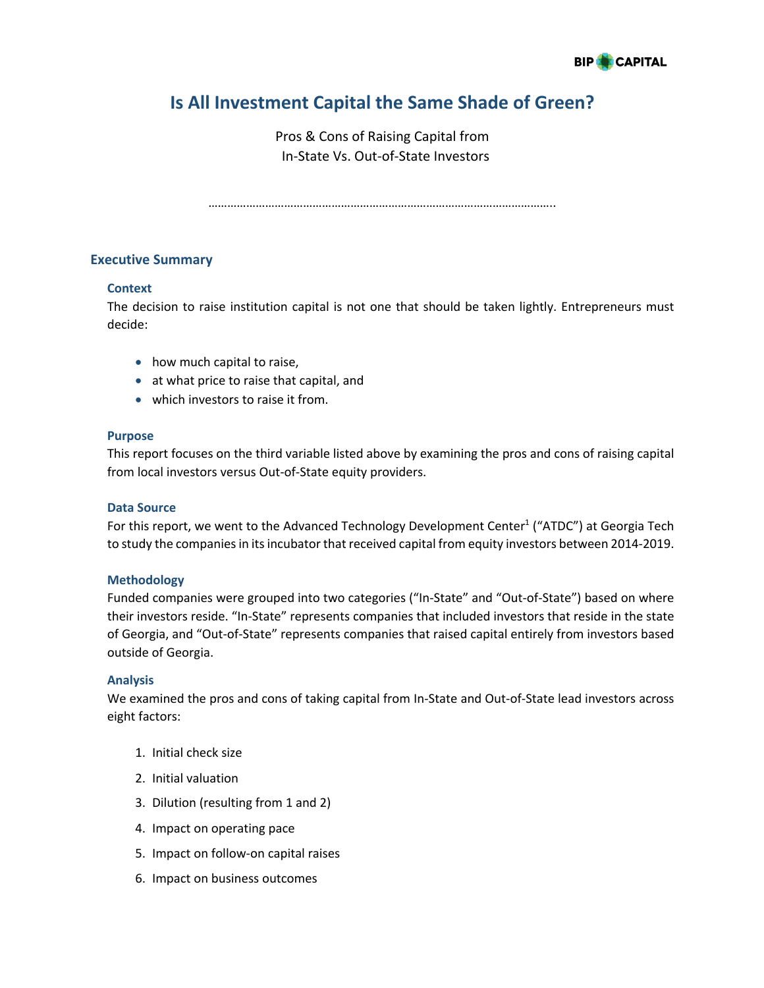

# **Is All Investment Capital the Same Shade of Green?**

Pros & Cons of Raising Capital from In-State Vs. Out-of-State Investors

………………………………………………………………………………………………..

# **Executive Summary**

#### **Context**

The decision to raise institution capital is not one that should be taken lightly. Entrepreneurs must decide:

- how much capital to raise,
- at what price to raise that capital, and
- which investors to raise it from.

#### **Purpose**

This report focuses on the third variable listed above by examining the pros and cons of raising capital from local investors versus Out-of-State equity providers.

#### **Data Source**

For this report, we went to the Advanced Technology Development Center<sup>1</sup> ("ATDC") at Georgia Tech to study the companies in its incubator that received capital from equity investors between 2014-2019.

#### **Methodology**

Funded companies were grouped into two categories ("In-State" and "Out-of-State") based on where their investors reside. "In-State" represents companies that included investors that reside in the state of Georgia, and "Out-of-State" represents companies that raised capital entirely from investors based outside of Georgia.

#### **Analysis**

We examined the pros and cons of taking capital from In-State and Out-of-State lead investors across eight factors:

- 1. Initial check size
- 2. Initial valuation
- 3. Dilution (resulting from 1 and 2)
- 4. Impact on operating pace
- 5. Impact on follow-on capital raises
- 6. Impact on business outcomes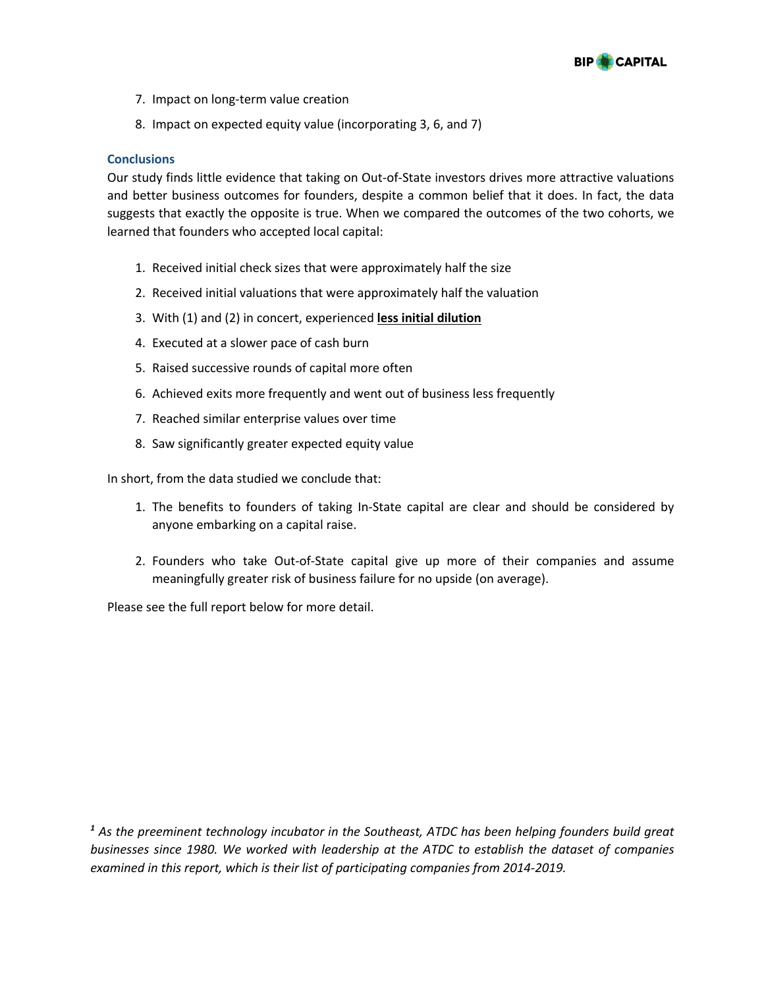

- 7. Impact on long-term value creation
- 8. Impact on expected equity value (incorporating 3, 6, and 7)

#### **Conclusions**

Our study finds little evidence that taking on Out-of-State investors drives more attractive valuations and better business outcomes for founders, despite a common belief that it does. In fact, the data suggests that exactly the opposite is true. When we compared the outcomes of the two cohorts, we learned that founders who accepted local capital:

- 1. Received initial check sizes that were approximately half the size
- 2. Received initial valuations that were approximately half the valuation
- 3. With (1) and (2) in concert, experienced **less initial dilution**
- 4. Executed at a slower pace of cash burn
- 5. Raised successive rounds of capital more often
- 6. Achieved exits more frequently and went out of business less frequently
- 7. Reached similar enterprise values over time
- 8. Saw significantly greater expected equity value

In short, from the data studied we conclude that:

- 1. The benefits to founders of taking In-State capital are clear and should be considered by anyone embarking on a capital raise.
- 2. Founders who take Out-of-State capital give up more of their companies and assume meaningfully greater risk of business failure for no upside (on average).

Please see the full report below for more detail.

*<sup>1</sup> As the preeminent technology incubator in the Southeast, ATDC has been helping founders build great businesses since 1980. We worked with leadership at the ATDC to establish the dataset of companies examined in this report, which is their list of participating companies from 2014-2019.*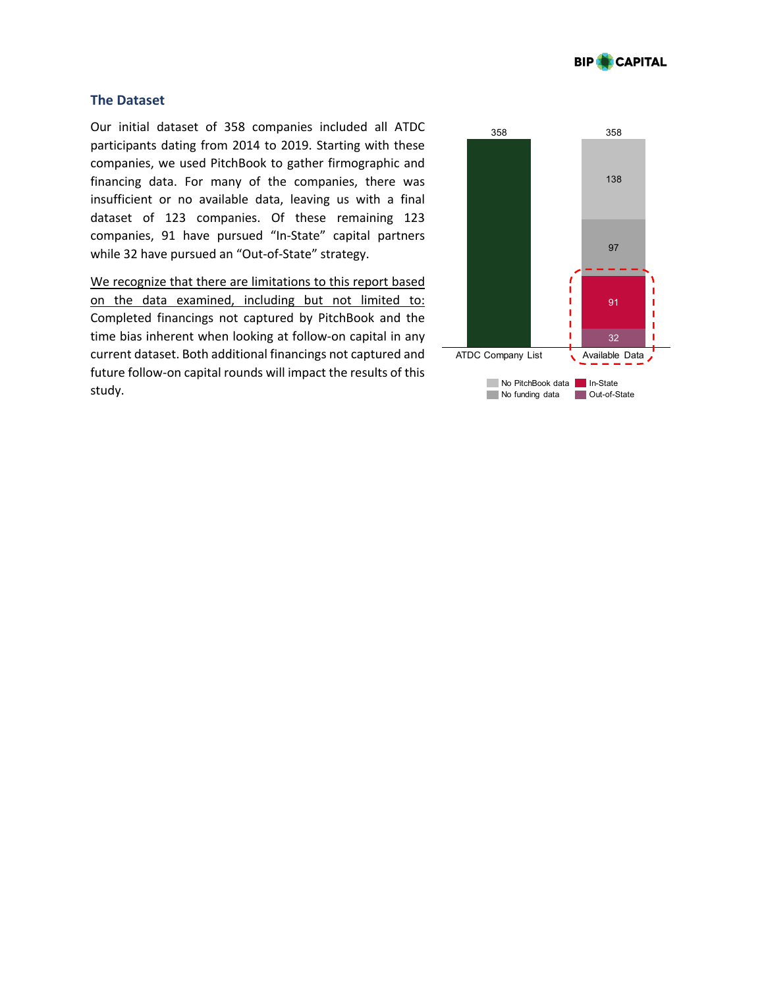

# **The Dataset**

Our initial dataset of 358 companies included all ATDC participants dating from 2014 to 2019. Starting with these companies, we used PitchBook to gather firmographic and financing data. For many of the companies, there was insufficient or no available data, leaving us with a final dataset of 123 companies. Of these remaining 123 companies, 91 have pursued "In-State" capital partners while 32 have pursued an "Out-of-State" strategy.

We recognize that there are limitations to this report based on the data examined, including but not limited to: Completed financings not captured by PitchBook and the time bias inherent when looking at follow-on capital in any current dataset. Both additional financings not captured and future follow-on capital rounds will impact the results of this study.

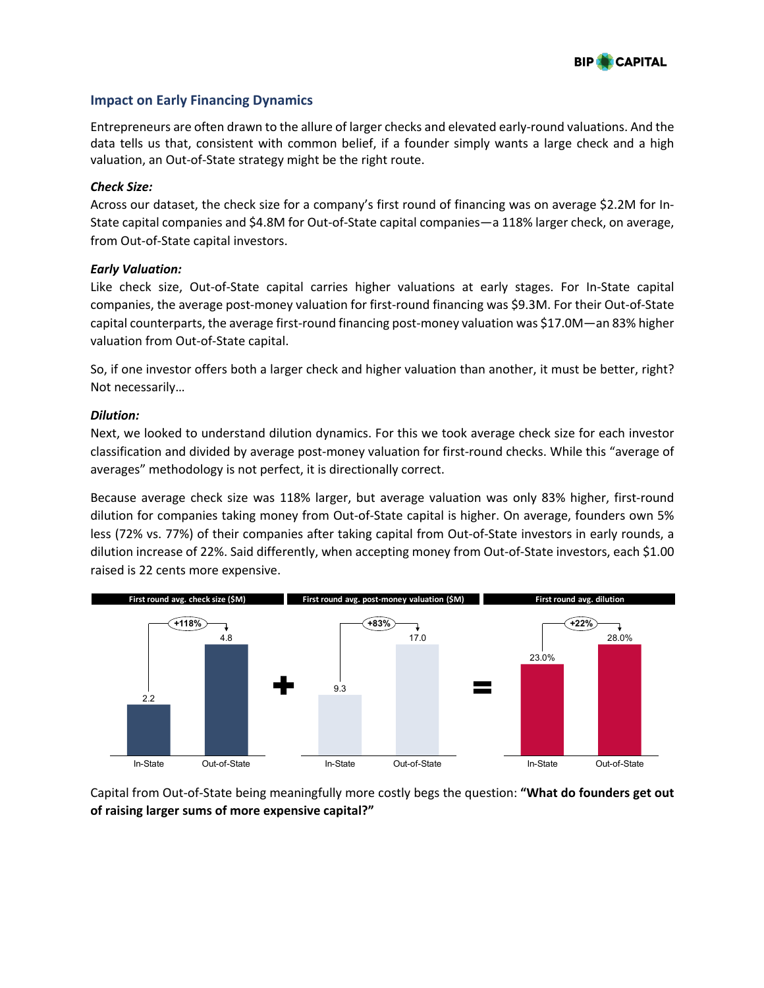

# **Impact on Early Financing Dynamics**

Entrepreneurs are often drawn to the allure of larger checks and elevated early-round valuations. And the data tells us that, consistent with common belief, if a founder simply wants a large check and a high valuation, an Out-of-State strategy might be the right route.

#### *Check Size:*

Across our dataset, the check size for a company's first round of financing was on average \$2.2M for In-State capital companies and \$4.8M for Out-of-State capital companies—a 118% larger check, on average, from Out-of-State capital investors.

# *Early Valuation:*

Like check size, Out-of-State capital carries higher valuations at early stages. For In-State capital companies, the average post-money valuation for first-round financing was \$9.3M. For their Out-of-State capital counterparts, the average first-round financing post-money valuation was \$17.0M—an 83% higher valuation from Out-of-State capital.

So, if one investor offers both a larger check and higher valuation than another, it must be better, right? Not necessarily…

#### *Dilution:*

Next, we looked to understand dilution dynamics. For this we took average check size for each investor classification and divided by average post-money valuation for first-round checks. While this "average of averages" methodology is not perfect, it is directionally correct.

Because average check size was 118% larger, but average valuation was only 83% higher, first-round dilution for companies taking money from Out-of-State capital is higher. On average, founders own 5% less (72% vs. 77%) of their companies after taking capital from Out-of-State investors in early rounds, a dilution increase of 22%. Said differently, when accepting money from Out-of-State investors, each \$1.00 raised is 22 cents more expensive.



Capital from Out-of-State being meaningfully more costly begs the question: **"What do founders get out of raising larger sums of more expensive capital?"**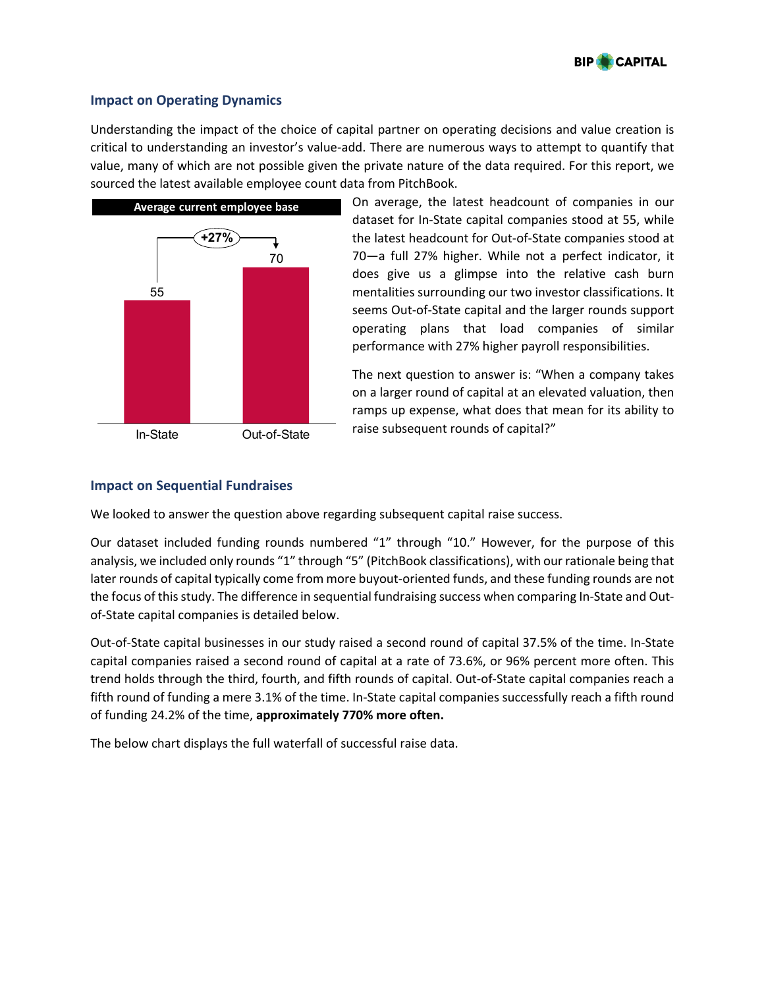

# **Impact on Operating Dynamics**

Understanding the impact of the choice of capital partner on operating decisions and value creation is critical to understanding an investor's value-add. There are numerous ways to attempt to quantify that value, many of which are not possible given the private nature of the data required. For this report, we sourced the latest available employee count data from PitchBook.



On average, the latest headcount of companies in our dataset for In-State capital companies stood at 55, while the latest headcount for Out-of-State companies stood at 70—a full 27% higher. While not a perfect indicator, it does give us a glimpse into the relative cash burn mentalities surrounding our two investor classifications. It seems Out-of-State capital and the larger rounds support operating plans that load companies of similar performance with 27% higher payroll responsibilities.

The next question to answer is: "When a company takes on a larger round of capital at an elevated valuation, then ramps up expense, what does that mean for its ability to raise subsequent rounds of capital?"

# **Impact on Sequential Fundraises**

We looked to answer the question above regarding subsequent capital raise success.

Our dataset included funding rounds numbered "1" through "10." However, for the purpose of this analysis, we included only rounds "1" through "5" (PitchBook classifications), with our rationale being that later rounds of capital typically come from more buyout-oriented funds, and these funding rounds are not the focus of this study. The difference in sequential fundraising success when comparing In-State and Outof-State capital companies is detailed below.

Out-of-State capital businesses in our study raised a second round of capital 37.5% of the time. In-State capital companies raised a second round of capital at a rate of 73.6%, or 96% percent more often. This trend holds through the third, fourth, and fifth rounds of capital. Out-of-State capital companies reach a fifth round of funding a mere 3.1% of the time. In-State capital companies successfully reach a fifth round of funding 24.2% of the time, **approximately 770% more often.**

The below chart displays the full waterfall of successful raise data.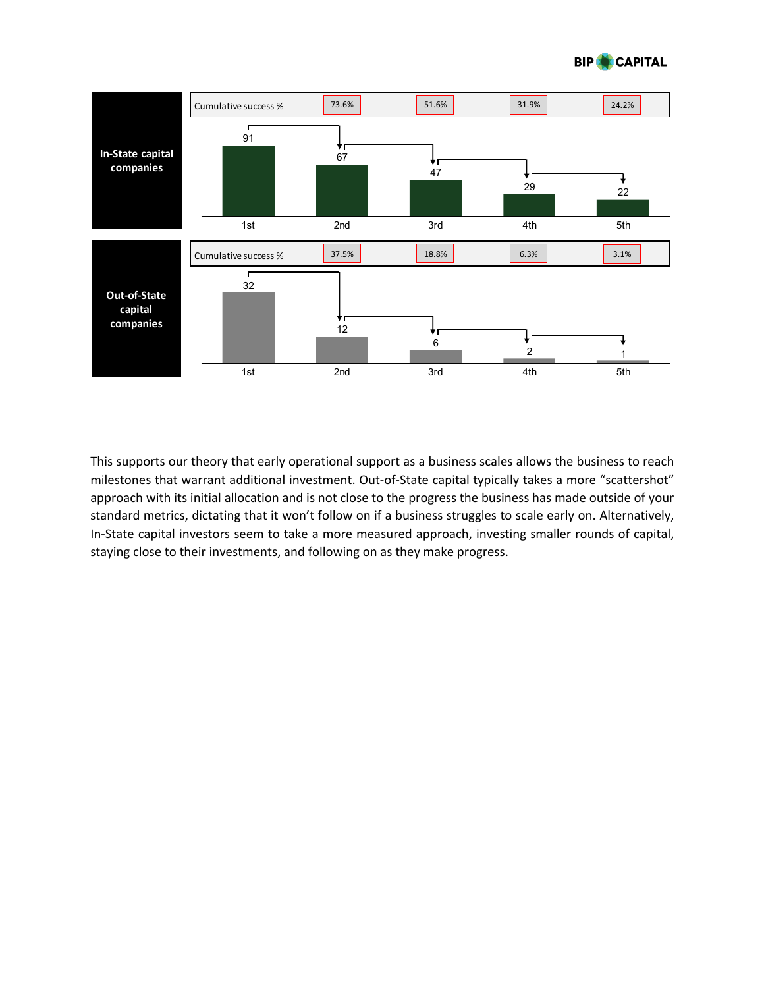



This supports our theory that early operational support as a business scales allows the business to reach milestones that warrant additional investment. Out-of-State capital typically takes a more "scattershot" approach with its initial allocation and is not close to the progress the business has made outside of your standard metrics, dictating that it won't follow on if a business struggles to scale early on. Alternatively, In-State capital investors seem to take a more measured approach, investing smaller rounds of capital, staying close to their investments, and following on as they make progress.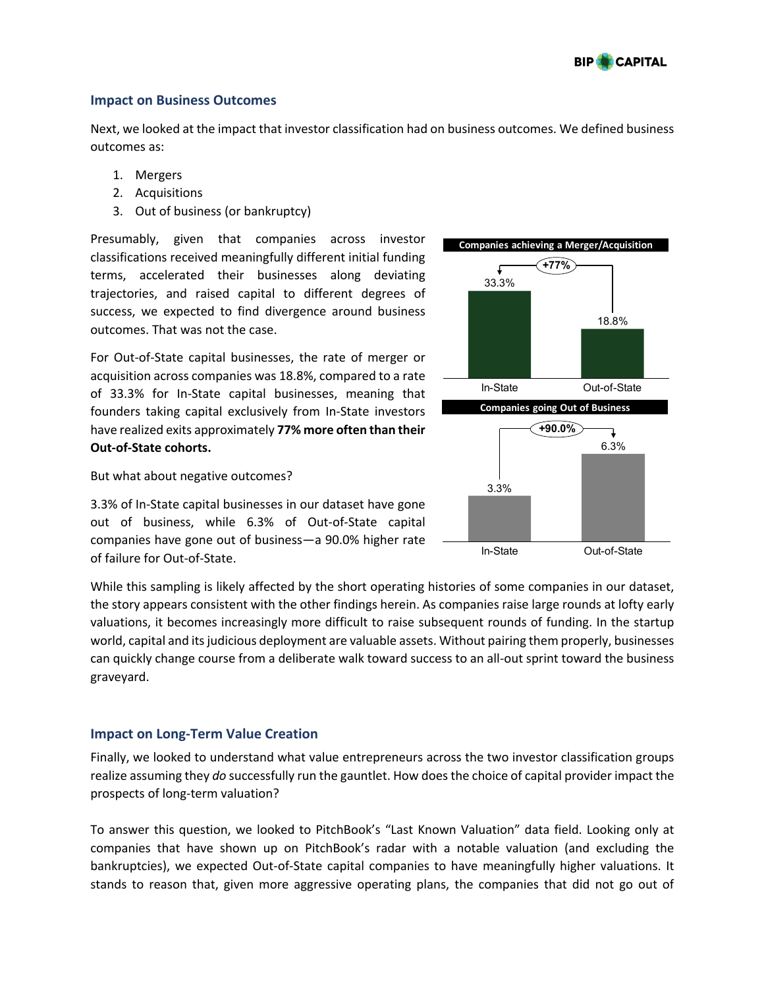

# **Impact on Business Outcomes**

Next, we looked at the impact that investor classification had on business outcomes. We defined business outcomes as:

- 1. Mergers
- 2. Acquisitions
- 3. Out of business (or bankruptcy)

Presumably, given that companies across investor classifications received meaningfully different initial funding terms, accelerated their businesses along deviating trajectories, and raised capital to different degrees of success, we expected to find divergence around business outcomes. That was not the case.

For Out-of-State capital businesses, the rate of merger or acquisition across companies was 18.8%, compared to a rate of 33.3% for In-State capital businesses, meaning that founders taking capital exclusively from In-State investors have realized exits approximately **77% more often than their Out-of-State cohorts.**



But what about negative outcomes?

3.3% of In-State capital businesses in our dataset have gone out of business, while 6.3% of Out-of-State capital companies have gone out of business—a 90.0% higher rate of failure for Out-of-State.

While this sampling is likely affected by the short operating histories of some companies in our dataset, the story appears consistent with the other findings herein. As companies raise large rounds at lofty early valuations, it becomes increasingly more difficult to raise subsequent rounds of funding. In the startup world, capital and its judicious deployment are valuable assets. Without pairing them properly, businesses can quickly change course from a deliberate walk toward success to an all-out sprint toward the business graveyard.

# **Impact on Long-Term Value Creation**

Finally, we looked to understand what value entrepreneurs across the two investor classification groups realize assuming they *do* successfully run the gauntlet. How does the choice of capital provider impact the prospects of long-term valuation?

To answer this question, we looked to PitchBook's "Last Known Valuation" data field. Looking only at companies that have shown up on PitchBook's radar with a notable valuation (and excluding the bankruptcies), we expected Out-of-State capital companies to have meaningfully higher valuations. It stands to reason that, given more aggressive operating plans, the companies that did not go out of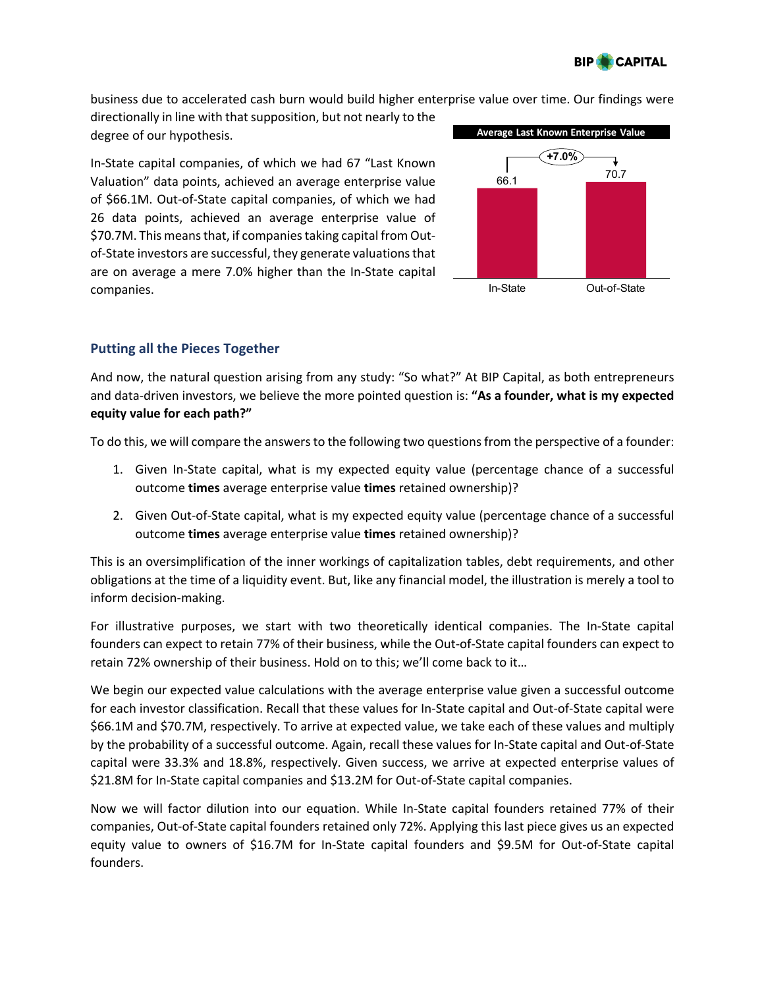

business due to accelerated cash burn would build higher enterprise value over time. Our findings were

directionally in line with that supposition, but not nearly to the degree of our hypothesis.

In-State capital companies, of which we had 67 "Last Known Valuation" data points, achieved an average enterprise value of \$66.1M. Out-of-State capital companies, of which we had 26 data points, achieved an average enterprise value of \$70.7M. This means that, if companies taking capital from Outof-State investors are successful, they generate valuations that are on average a mere 7.0% higher than the In-State capital companies.



# **Putting all the Pieces Together**

And now, the natural question arising from any study: "So what?" At BIP Capital, as both entrepreneurs and data-driven investors, we believe the more pointed question is: **"As a founder, what is my expected equity value for each path?"**

To do this, we will compare the answers to the following two questions from the perspective of a founder:

- 1. Given In-State capital, what is my expected equity value (percentage chance of a successful outcome **times** average enterprise value **times** retained ownership)?
- 2. Given Out-of-State capital, what is my expected equity value (percentage chance of a successful outcome **times** average enterprise value **times** retained ownership)?

This is an oversimplification of the inner workings of capitalization tables, debt requirements, and other obligations at the time of a liquidity event. But, like any financial model, the illustration is merely a tool to inform decision-making.

For illustrative purposes, we start with two theoretically identical companies. The In-State capital founders can expect to retain 77% of their business, while the Out-of-State capital founders can expect to retain 72% ownership of their business. Hold on to this; we'll come back to it…

We begin our expected value calculations with the average enterprise value given a successful outcome for each investor classification. Recall that these values for In-State capital and Out-of-State capital were \$66.1M and \$70.7M, respectively. To arrive at expected value, we take each of these values and multiply by the probability of a successful outcome. Again, recall these values for In-State capital and Out-of-State capital were 33.3% and 18.8%, respectively. Given success, we arrive at expected enterprise values of \$21.8M for In-State capital companies and \$13.2M for Out-of-State capital companies.

Now we will factor dilution into our equation. While In-State capital founders retained 77% of their companies, Out-of-State capital founders retained only 72%. Applying this last piece gives us an expected equity value to owners of \$16.7M for In-State capital founders and \$9.5M for Out-of-State capital founders.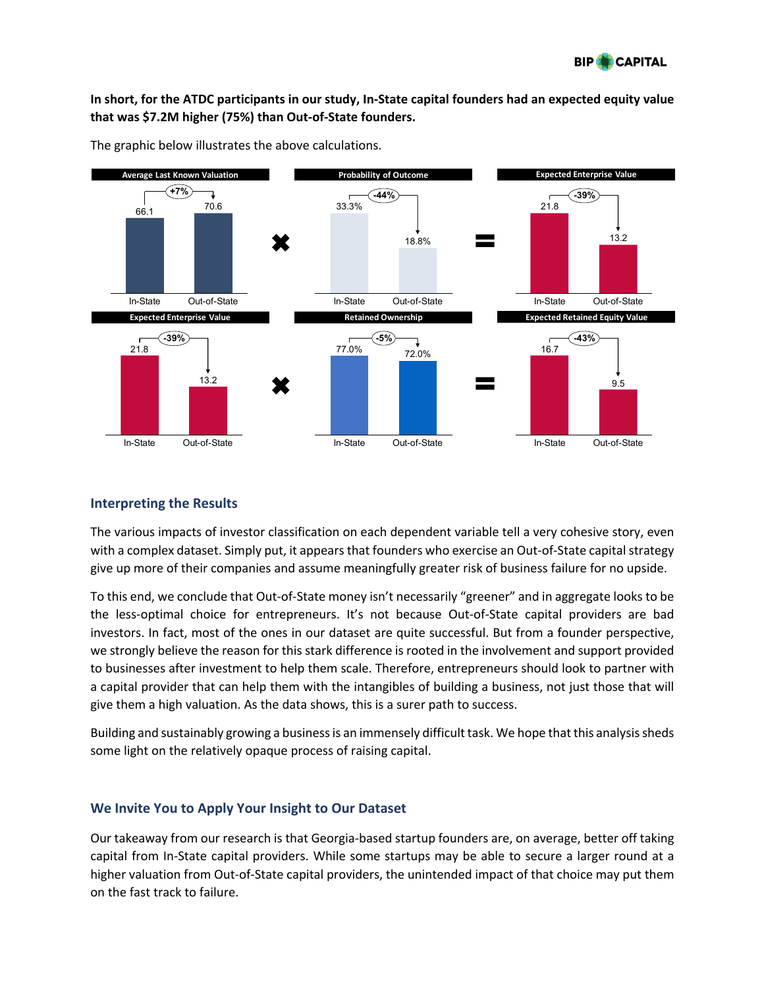

# **In short, for the ATDC participants in our study, In-State capital founders had an expected equity value that was \$7.2M higher (75%) than Out-of-State founders.**



The graphic below illustrates the above calculations.

# **Interpreting the Results**

The various impacts of investor classification on each dependent variable tell a very cohesive story, even with a complex dataset. Simply put, it appears that founders who exercise an Out-of-State capital strategy give up more of their companies and assume meaningfully greater risk of business failure for no upside.

To this end, we conclude that Out-of-State money isn't necessarily "greener" and in aggregate looks to be the less-optimal choice for entrepreneurs. It's not because Out-of-State capital providers are bad investors. In fact, most of the ones in our dataset are quite successful. But from a founder perspective, we strongly believe the reason for this stark difference is rooted in the involvement and support provided to businesses after investment to help them scale. Therefore, entrepreneurs should look to partner with a capital provider that can help them with the intangibles of building a business, not just those that will give them a high valuation. As the data shows, this is a surer path to success.

Building and sustainably growing a business is an immensely difficult task. We hope that this analysis sheds some light on the relatively opaque process of raising capital.

# **We Invite You to Apply Your Insight to Our Dataset**

Our takeaway from our research is that Georgia-based startup founders are, on average, better off taking capital from In-State capital providers. While some startups may be able to secure a larger round at a higher valuation from Out-of-State capital providers, the unintended impact of that choice may put them on the fast track to failure.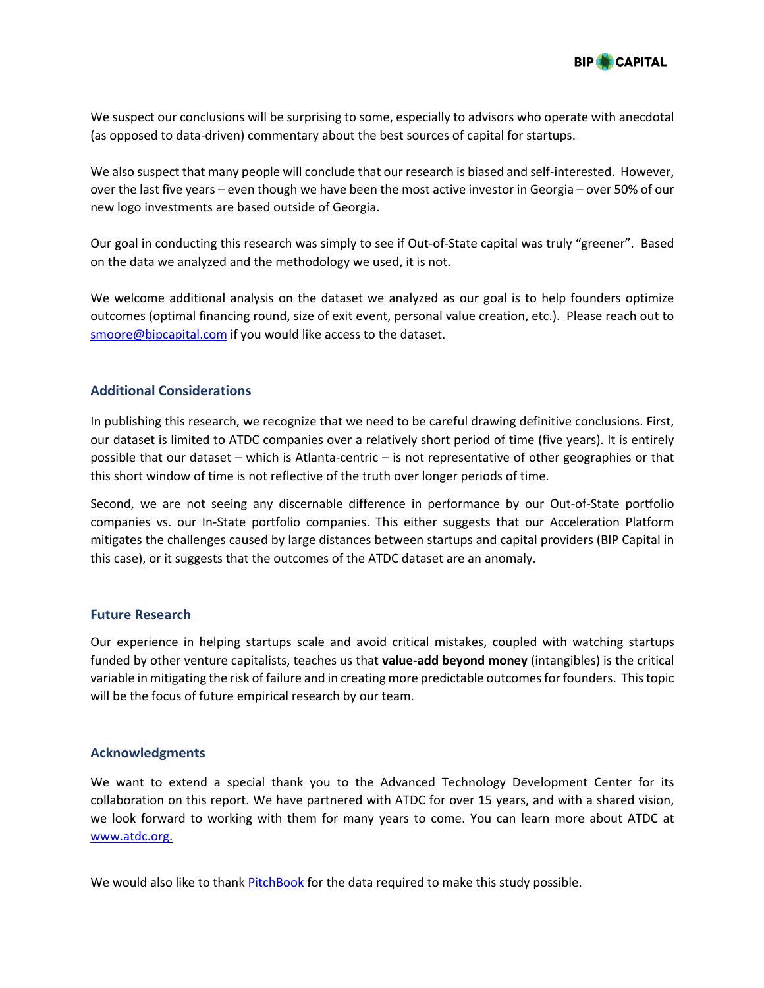

We suspect our conclusions will be surprising to some, especially to advisors who operate with anecdotal (as opposed to data-driven) commentary about the best sources of capital for startups.

We also suspect that many people will conclude that our research is biased and self-interested. However, over the last five years – even though we have been the most active investor in Georgia – over 50% of our new logo investments are based outside of Georgia.

Our goal in conducting this research was simply to see if Out-of-State capital was truly "greener". Based on the data we analyzed and the methodology we used, it is not.

We welcome additional analysis on the dataset we analyzed as our goal is to help founders optimize outcomes (optimal financing round, size of exit event, personal value creation, etc.). Please reach out to smoore@bipcapital.com if you would like access to the dataset.

# **Additional Considerations**

In publishing this research, we recognize that we need to be careful drawing definitive conclusions. First, our dataset is limited to ATDC companies over a relatively short period of time (five years). It is entirely possible that our dataset – which is Atlanta-centric – is not representative of other geographies or that this short window of time is not reflective of the truth over longer periods of time.

Second, we are not seeing any discernable difference in performance by our Out-of-State portfolio companies vs. our In-State portfolio companies. This either suggests that our Acceleration Platform mitigates the challenges caused by large distances between startups and capital providers (BIP Capital in this case), or it suggests that the outcomes of the ATDC dataset are an anomaly.

# **Future Research**

Our experience in helping startups scale and avoid critical mistakes, coupled with watching startups funded by other venture capitalists, teaches us that **value-add beyond money** (intangibles) is the critical variable in mitigating the risk of failure and in creating more predictable outcomes for founders. This topic will be the focus of future empirical research by our team.

# **Acknowledgments**

We want to extend a special thank you to the Advanced Technology Development Center for its collaboration on this report. We have partnered with ATDC for over 15 years, and with a shared vision, we look forward to working with them for many years to come. You can learn more about ATDC at www.atdc.org.

We would also like to thank PitchBook for the data required to make this study possible.